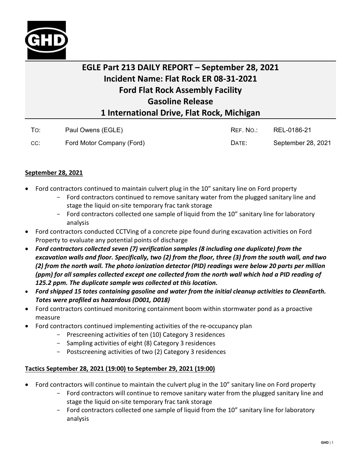

## **EGLE Part 213 DAILY REPORT – September 28, 2021 Incident Name: Flat Rock ER 08-31-2021 Ford Flat Rock Assembly Facility Gasoline Release 1 International Drive, Flat Rock, Michigan**

| To: | Paul Owens (EGLE)         | REF. NO.: | REL-0186-21        |
|-----|---------------------------|-----------|--------------------|
| CC: | Ford Motor Company (Ford) | DATE:     | September 28, 2021 |

## **September 28, 2021**

- Ford contractors continued to maintain culvert plug in the 10" sanitary line on Ford property
	- Ford contractors continued to remove sanitary water from the plugged sanitary line and stage the liquid on-site temporary frac tank storage
	- Ford contractors collected one sample of liquid from the 10" sanitary line for laboratory analysis
- Ford contractors conducted CCTVing of a concrete pipe found during excavation activities on Ford Property to evaluate any potential points of discharge
- *Ford contractors collected seven (7) verification samples (8 including one duplicate) from the excavation walls and floor. Specifically, two (2) from the floor, three (3) from the south wall, and two (2) from the north wall. The photo ionization detector (PID) readings were below 20 parts per million (ppm) for all samples collected except one collected from the north wall which had a PID reading of 125.2 ppm. The duplicate sample was collected at this location.*
- *Ford shipped 15 totes containing gasoline and water from the initial cleanup activities to CleanEarth. Totes were profiled as hazardous (D001, D018)*
- Ford contractors continued monitoring containment boom within stormwater pond as a proactive measure
- Ford contractors continued implementing activities of the re-occupancy plan
	- Prescreening activities of ten (10) Category 3 residences
	- Sampling activities of eight (8) Category 3 residences
	- Postscreening activities of two (2) Category 3 residences

## **Tactics September 28, 2021 (19:00) to September 29, 2021 (19:00)**

- Ford contractors will continue to maintain the culvert plug in the 10" sanitary line on Ford property
	- Ford contractors will continue to remove sanitary water from the plugged sanitary line and stage the liquid on-site temporary frac tank storage
	- Ford contractors collected one sample of liquid from the 10" sanitary line for laboratory analysis